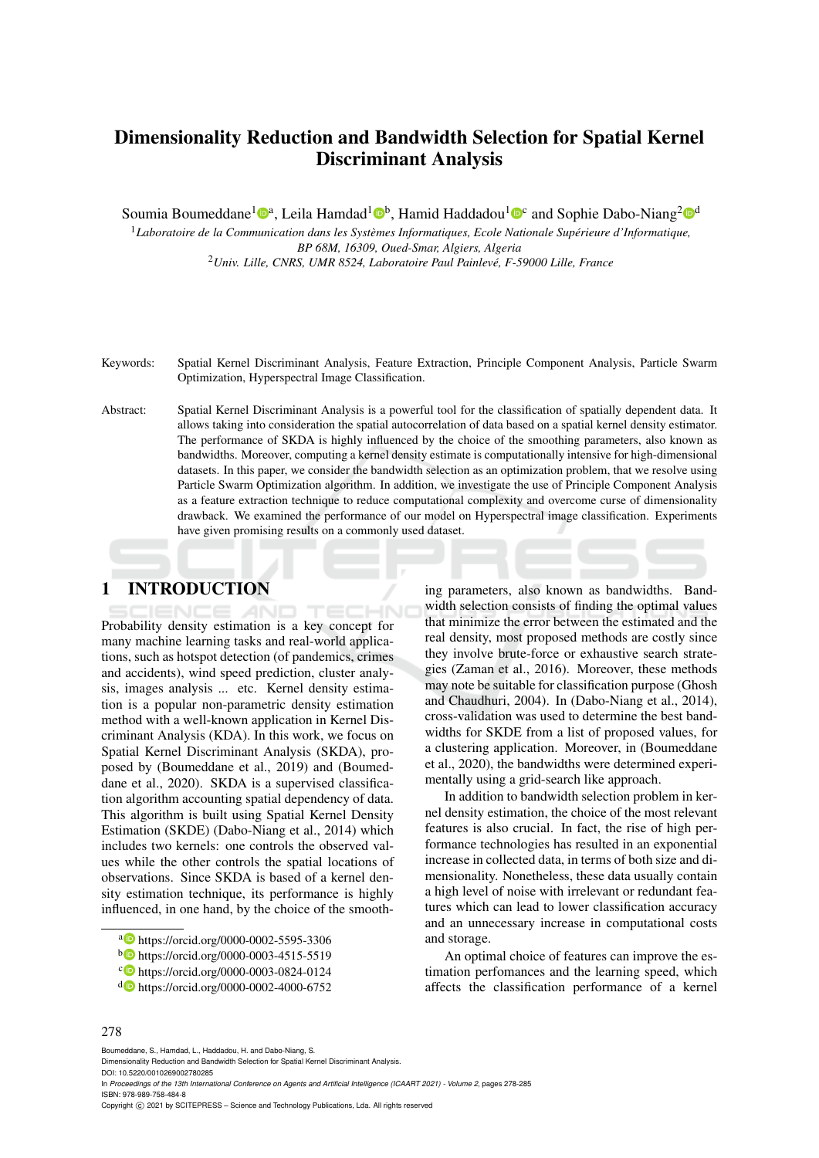# Dimensionality Reduction and Bandwidth Selection for Spatial Kernel Discriminant Analysis

Soumia Boumeddane<sup>1</sup><sup>®</sup>, Leila Hamdad<sup>1®</sup>, Hamid Haddadou<sup>1</sup>® and Sophie Dabo-Niang<sup>2</sup>®<sup>d</sup>

<sup>1</sup>*Laboratoire de la Communication dans les Systemes Informatiques, Ecole Nationale Sup ` erieure d'Informatique, ´ BP 68M, 16309, Oued-Smar, Algiers, Algeria* <sup>2</sup>*Univ. Lille, CNRS, UMR 8524, Laboratoire Paul Painleve, F-59000 Lille, France ´*

Keywords: Spatial Kernel Discriminant Analysis, Feature Extraction, Principle Component Analysis, Particle Swarm Optimization, Hyperspectral Image Classification.

Abstract: Spatial Kernel Discriminant Analysis is a powerful tool for the classification of spatially dependent data. It allows taking into consideration the spatial autocorrelation of data based on a spatial kernel density estimator. The performance of SKDA is highly influenced by the choice of the smoothing parameters, also known as bandwidths. Moreover, computing a kernel density estimate is computationally intensive for high-dimensional datasets. In this paper, we consider the bandwidth selection as an optimization problem, that we resolve using Particle Swarm Optimization algorithm. In addition, we investigate the use of Principle Component Analysis as a feature extraction technique to reduce computational complexity and overcome curse of dimensionality drawback. We examined the performance of our model on Hyperspectral image classification. Experiments have given promising results on a commonly used dataset.

# 1 INTRODUCTION

Probability density estimation is a key concept for many machine learning tasks and real-world applications, such as hotspot detection (of pandemics, crimes and accidents), wind speed prediction, cluster analysis, images analysis ... etc. Kernel density estimation is a popular non-parametric density estimation method with a well-known application in Kernel Discriminant Analysis (KDA). In this work, we focus on Spatial Kernel Discriminant Analysis (SKDA), proposed by (Boumeddane et al., 2019) and (Boumeddane et al., 2020). SKDA is a supervised classification algorithm accounting spatial dependency of data. This algorithm is built using Spatial Kernel Density Estimation (SKDE) (Dabo-Niang et al., 2014) which includes two kernels: one controls the observed values while the other controls the spatial locations of observations. Since SKDA is based of a kernel density estimation technique, its performance is highly influenced, in one hand, by the choice of the smooth-

ing parameters, also known as bandwidths. Bandwidth selection consists of finding the optimal values that minimize the error between the estimated and the real density, most proposed methods are costly since they involve brute-force or exhaustive search strategies (Zaman et al., 2016). Moreover, these methods may note be suitable for classification purpose (Ghosh and Chaudhuri, 2004). In (Dabo-Niang et al., 2014), cross-validation was used to determine the best bandwidths for SKDE from a list of proposed values, for a clustering application. Moreover, in (Boumeddane et al., 2020), the bandwidths were determined experimentally using a grid-search like approach.

In addition to bandwidth selection problem in kernel density estimation, the choice of the most relevant features is also crucial. In fact, the rise of high performance technologies has resulted in an exponential increase in collected data, in terms of both size and dimensionality. Nonetheless, these data usually contain a high level of noise with irrelevant or redundant features which can lead to lower classification accuracy and an unnecessary increase in computational costs and storage.

An optimal choice of features can improve the estimation perfomances and the learning speed, which affects the classification performance of a kernel

#### 278

Boumeddane, S., Hamdad, L., Haddadou, H. and Dabo-Niang, S.

Dimensionality Reduction and Bandwidth Selection for Spatial Kernel Discriminant Analysis. DOI: 10.5220/0010269002780285

In Proceedings of the 13th International Conference on Agents and Artificial Intelligence (ICAART 2021) - Volume 2, pages 278-285 ISBN: 978-989-758-484-8

Copyright  $©$  2021 by SCITEPRESS - Science and Technology Publications, Lda. All rights reserved

a https://orcid.org/0000-0002-5595-3306

<sup>b</sup> https://orcid.org/0000-0003-4515-5519

c https://orcid.org/0000-0003-0824-0124

<sup>d</sup> https://orcid.org/0000-0002-4000-6752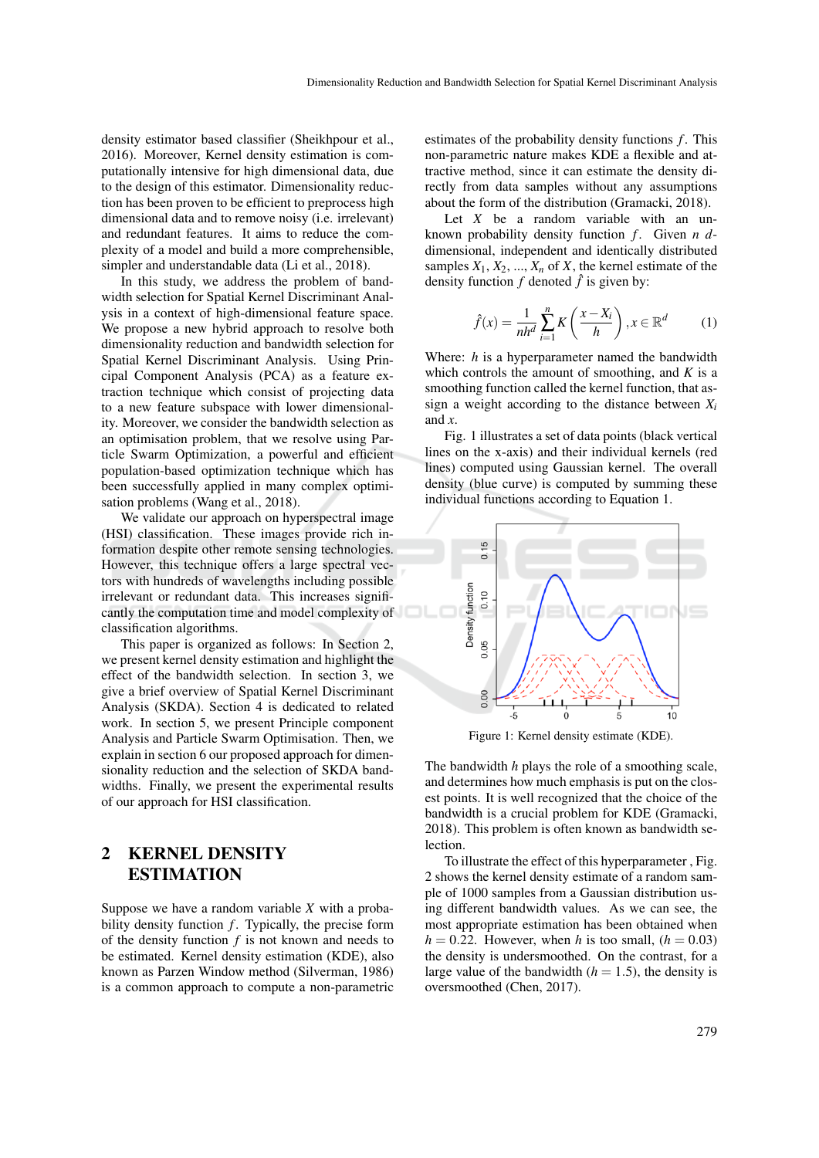density estimator based classifier (Sheikhpour et al., 2016). Moreover, Kernel density estimation is computationally intensive for high dimensional data, due to the design of this estimator. Dimensionality reduction has been proven to be efficient to preprocess high dimensional data and to remove noisy (i.e. irrelevant) and redundant features. It aims to reduce the complexity of a model and build a more comprehensible, simpler and understandable data (Li et al., 2018).

In this study, we address the problem of bandwidth selection for Spatial Kernel Discriminant Analysis in a context of high-dimensional feature space. We propose a new hybrid approach to resolve both dimensionality reduction and bandwidth selection for Spatial Kernel Discriminant Analysis. Using Principal Component Analysis (PCA) as a feature extraction technique which consist of projecting data to a new feature subspace with lower dimensionality. Moreover, we consider the bandwidth selection as an optimisation problem, that we resolve using Particle Swarm Optimization, a powerful and efficient population-based optimization technique which has been successfully applied in many complex optimisation problems (Wang et al., 2018).

We validate our approach on hyperspectral image (HSI) classification. These images provide rich information despite other remote sensing technologies. However, this technique offers a large spectral vectors with hundreds of wavelengths including possible irrelevant or redundant data. This increases significantly the computation time and model complexity of classification algorithms.

This paper is organized as follows: In Section 2, we present kernel density estimation and highlight the effect of the bandwidth selection. In section 3, we give a brief overview of Spatial Kernel Discriminant Analysis (SKDA). Section 4 is dedicated to related work. In section 5, we present Principle component Analysis and Particle Swarm Optimisation. Then, we explain in section 6 our proposed approach for dimensionality reduction and the selection of SKDA bandwidths. Finally, we present the experimental results of our approach for HSI classification.

# 2 KERNEL DENSITY ESTIMATION

Suppose we have a random variable *X* with a probability density function  $f$ . Typically, the precise form of the density function *f* is not known and needs to be estimated. Kernel density estimation (KDE), also known as Parzen Window method (Silverman, 1986) is a common approach to compute a non-parametric estimates of the probability density functions *f* . This non-parametric nature makes KDE a flexible and attractive method, since it can estimate the density directly from data samples without any assumptions about the form of the distribution (Gramacki, 2018).

Let *X* be a random variable with an unknown probability density function *f*. Given *n d*dimensional, independent and identically distributed samples  $X_1, X_2, ..., X_n$  of *X*, the kernel estimate of the density function  $f$  denoted  $\hat{f}$  is given by:

$$
\hat{f}(x) = \frac{1}{nh^d} \sum_{i=1}^n K\left(\frac{x - X_i}{h}\right), x \in \mathbb{R}^d \tag{1}
$$

Where: *h* is a hyperparameter named the bandwidth which controls the amount of smoothing, and *K* is a smoothing function called the kernel function, that assign a weight according to the distance between *X<sup>i</sup>* and *x*.

Fig. 1 illustrates a set of data points (black vertical lines on the x-axis) and their individual kernels (red lines) computed using Gaussian kernel. The overall density (blue curve) is computed by summing these individual functions according to Equation 1.



Figure 1: Kernel density estimate (KDE).

The bandwidth *h* plays the role of a smoothing scale, and determines how much emphasis is put on the closest points. It is well recognized that the choice of the bandwidth is a crucial problem for KDE (Gramacki, 2018). This problem is often known as bandwidth selection.

To illustrate the effect of this hyperparameter , Fig. 2 shows the kernel density estimate of a random sample of 1000 samples from a Gaussian distribution using different bandwidth values. As we can see, the most appropriate estimation has been obtained when  $h = 0.22$ . However, when *h* is too small,  $(h = 0.03)$ the density is undersmoothed. On the contrast, for a large value of the bandwidth  $(h = 1.5)$ , the density is oversmoothed (Chen, 2017).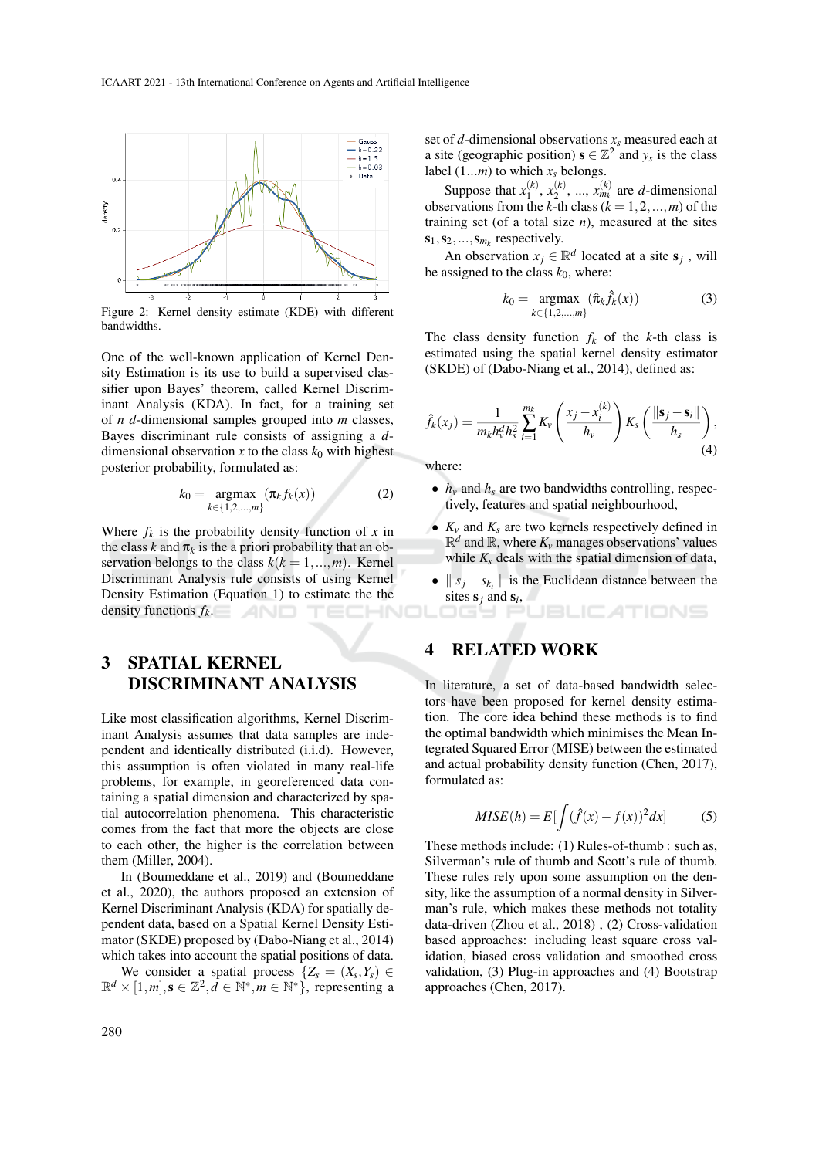

Figure 2: Kernel density estimate (KDE) with different bandwidths.

One of the well-known application of Kernel Density Estimation is its use to build a supervised classifier upon Bayes' theorem, called Kernel Discriminant Analysis (KDA). In fact, for a training set of *n d*-dimensional samples grouped into *m* classes, Bayes discriminant rule consists of assigning a *d*dimensional observation x to the class  $k_0$  with highest posterior probability, formulated as:

$$
k_0 = \underset{k \in \{1, 2, ..., m\}}{\text{argmax}} (\pi_k f_k(x))
$$
 (2)

Where  $f_k$  is the probability density function of  $x$  in the class *k* and  $\pi_k$  is the a priori probability that an observation belongs to the class  $k(k = 1, ..., m)$ . Kernel Discriminant Analysis rule consists of using Kernel Density Estimation (Equation 1) to estimate the the density functions *fk*.

# 3 SPATIAL KERNEL DISCRIMINANT ANALYSIS

Like most classification algorithms, Kernel Discriminant Analysis assumes that data samples are independent and identically distributed (i.i.d). However, this assumption is often violated in many real-life problems, for example, in georeferenced data containing a spatial dimension and characterized by spatial autocorrelation phenomena. This characteristic comes from the fact that more the objects are close to each other, the higher is the correlation between them (Miller, 2004).

In (Boumeddane et al., 2019) and (Boumeddane et al., 2020), the authors proposed an extension of Kernel Discriminant Analysis (KDA) for spatially dependent data, based on a Spatial Kernel Density Estimator (SKDE) proposed by (Dabo-Niang et al., 2014) which takes into account the spatial positions of data.

We consider a spatial process  $\{Z_s = (X_s, Y_s) \in$  $\mathbb{R}^d \times [1,m], \mathbf{s} \in \mathbb{Z}^2, d \in \mathbb{N}^*, m \in \mathbb{N}^*$ , representing a

Suppose that  $x_1^{(k)}$  $x_1^{(k)}, x_2^{(k)}$  $x_2^{(k)}$ , ...,  $x_{m_k}^{(k)}$  are *d*-dimensional observations from the  $k$ -th class ( $\hat{k} = 1, 2, ..., m$ ) of the training set (of a total size *n*), measured at the sites  $s_1, s_2, \ldots, s_{m_k}$  respectively.

An observation  $x_j \in \mathbb{R}^d$  located at a site  $s_j$ , will be assigned to the class  $k_0$ , where:

$$
k_0 = \underset{k \in \{1, 2, \dots, m\}}{\text{argmax}} (\hat{\pi}_k \hat{f}_k(x))
$$
 (3)

The class density function  $f_k$  of the *k*-th class is estimated using the spatial kernel density estimator (SKDE) of (Dabo-Niang et al., 2014), defined as:

$$
\hat{f}_k(x_j) = \frac{1}{m_k h_v^d h_s^2} \sum_{i=1}^{m_k} K_v \left( \frac{x_j - x_i^{(k)}}{h_v} \right) K_s \left( \frac{\|\mathbf{s}_j - \mathbf{s}_i\|}{h_s} \right), \tag{4}
$$

where:

- $h<sub>v</sub>$  and  $h<sub>s</sub>$  are two bandwidths controlling, respectively, features and spatial neighbourhood,
- $K_v$  and  $K_s$  are two kernels respectively defined in  $\mathbb{R}^d$  and  $\mathbb{R}$ , where  $K_v$  manages observations' values while  $K_s$  deals with the spatial dimension of data,
- $\| s_j s_{k_i} \|$  is the Euclidean distance between the sites  $s_j$  and  $s_i$ ,

### 4 RELATED WORK

169 F

In literature, a set of data-based bandwidth selectors have been proposed for kernel density estimation. The core idea behind these methods is to find the optimal bandwidth which minimises the Mean Integrated Squared Error (MISE) between the estimated and actual probability density function (Chen, 2017), formulated as:

$$
MISE(h) = E\left[\int (\hat{f}(x) - f(x))^2 dx\right]
$$
 (5)

These methods include: (1) Rules-of-thumb : such as, Silverman's rule of thumb and Scott's rule of thumb. These rules rely upon some assumption on the density, like the assumption of a normal density in Silverman's rule, which makes these methods not totality data-driven (Zhou et al., 2018) , (2) Cross-validation based approaches: including least square cross validation, biased cross validation and smoothed cross validation, (3) Plug-in approaches and (4) Bootstrap approaches (Chen, 2017).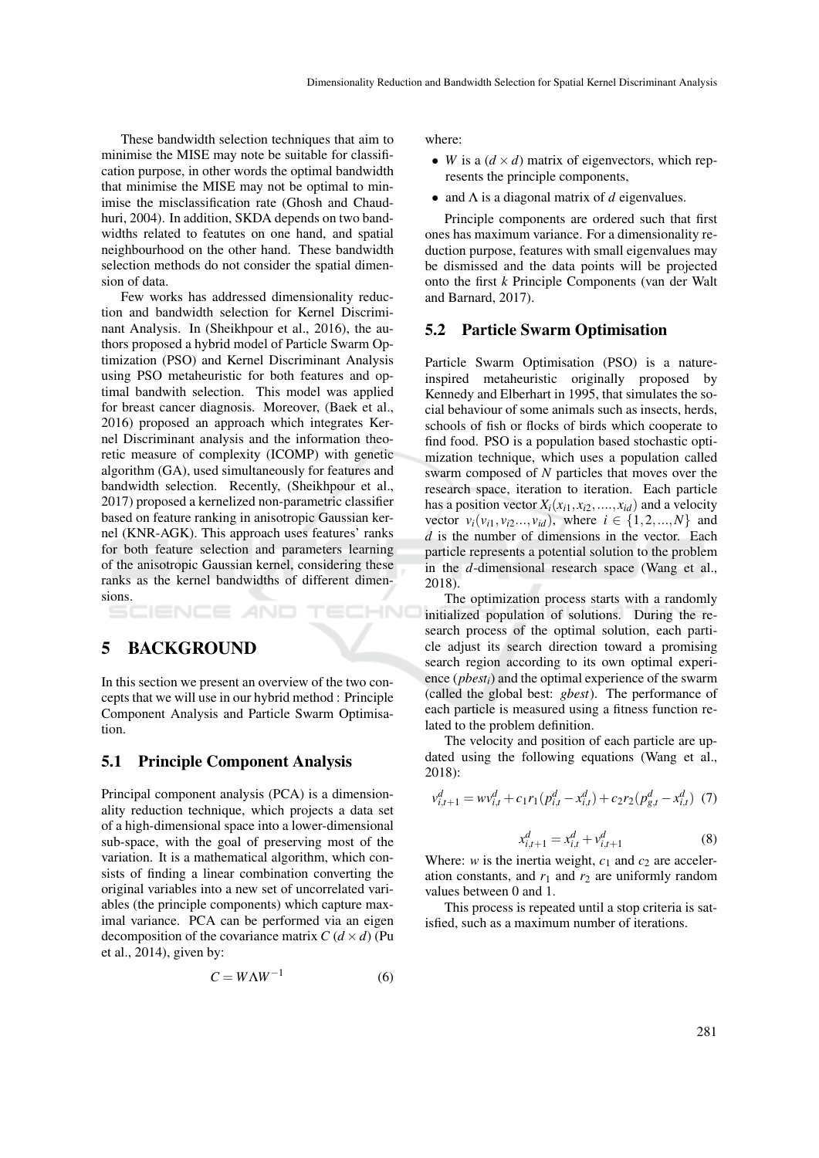These bandwidth selection techniques that aim to minimise the MISE may note be suitable for classification purpose, in other words the optimal bandwidth that minimise the MISE may not be optimal to minimise the misclassification rate (Ghosh and Chaudhuri, 2004). In addition, SKDA depends on two bandwidths related to featutes on one hand, and spatial neighbourhood on the other hand. These bandwidth selection methods do not consider the spatial dimension of data.

Few works has addressed dimensionality reduction and bandwidth selection for Kernel Discriminant Analysis. In (Sheikhpour et al., 2016), the authors proposed a hybrid model of Particle Swarm Optimization (PSO) and Kernel Discriminant Analysis using PSO metaheuristic for both features and optimal bandwith selection. This model was applied for breast cancer diagnosis. Moreover, (Baek et al., 2016) proposed an approach which integrates Kernel Discriminant analysis and the information theoretic measure of complexity (ICOMP) with genetic algorithm (GA), used simultaneously for features and bandwidth selection. Recently, (Sheikhpour et al., 2017) proposed a kernelized non-parametric classifier based on feature ranking in anisotropic Gaussian kernel (KNR-AGK). This approach uses features' ranks for both feature selection and parameters learning of the anisotropic Gaussian kernel, considering these ranks as the kernel bandwidths of different dimensions.

### 5 BACKGROUND

In this section we present an overview of the two concepts that we will use in our hybrid method : Principle Component Analysis and Particle Swarm Optimisation.

### 5.1 Principle Component Analysis

IENCE *A*ND

Principal component analysis (PCA) is a dimensionality reduction technique, which projects a data set of a high-dimensional space into a lower-dimensional sub-space, with the goal of preserving most of the variation. It is a mathematical algorithm, which consists of finding a linear combination converting the original variables into a new set of uncorrelated variables (the principle components) which capture maximal variance. PCA can be performed via an eigen decomposition of the covariance matrix  $C$  ( $d \times d$ ) (Pu et al., 2014), given by:

$$
C = W\Lambda W^{-1} \tag{6}
$$

where:

HNC

- *W* is a  $(d \times d)$  matrix of eigenvectors, which represents the principle components,
- and Λ is a diagonal matrix of *d* eigenvalues.

Principle components are ordered such that first ones has maximum variance. For a dimensionality reduction purpose, features with small eigenvalues may be dismissed and the data points will be projected onto the first *k* Principle Components (van der Walt and Barnard, 2017).

#### 5.2 Particle Swarm Optimisation

Particle Swarm Optimisation (PSO) is a natureinspired metaheuristic originally proposed by Kennedy and Elberhart in 1995, that simulates the social behaviour of some animals such as insects, herds, schools of fish or flocks of birds which cooperate to find food. PSO is a population based stochastic optimization technique, which uses a population called swarm composed of *N* particles that moves over the research space, iteration to iteration. Each particle has a position vector  $X_i(x_{i1}, x_{i2}, \ldots, x_{id})$  and a velocity vector  $v_i(v_{i1}, v_{i2},..., v_{id})$ , where  $i \in \{1, 2, ..., N\}$  and *d* is the number of dimensions in the vector. Each particle represents a potential solution to the problem in the *d*-dimensional research space (Wang et al., 2018).

The optimization process starts with a randomly initialized population of solutions. During the research process of the optimal solution, each particle adjust its search direction toward a promising search region according to its own optimal experience (*pbesti*) and the optimal experience of the swarm (called the global best: *gbest*). The performance of each particle is measured using a fitness function related to the problem definition.

The velocity and position of each particle are updated using the following equations (Wang et al., 2018):

$$
v_{i,t+1}^d = w v_{i,t}^d + c_1 r_1 (p_{i,t}^d - x_{i,t}^d) + c_2 r_2 (p_{g,t}^d - x_{i,t}^d) \tag{7}
$$

$$
x_{i,t+1}^d = x_{i,t}^d + v_{i,t+1}^d
$$
 (8)

Where:  $w$  is the inertia weight,  $c_1$  and  $c_2$  are acceleration constants, and  $r_1$  and  $r_2$  are uniformly random values between 0 and 1.

This process is repeated until a stop criteria is satisfied, such as a maximum number of iterations.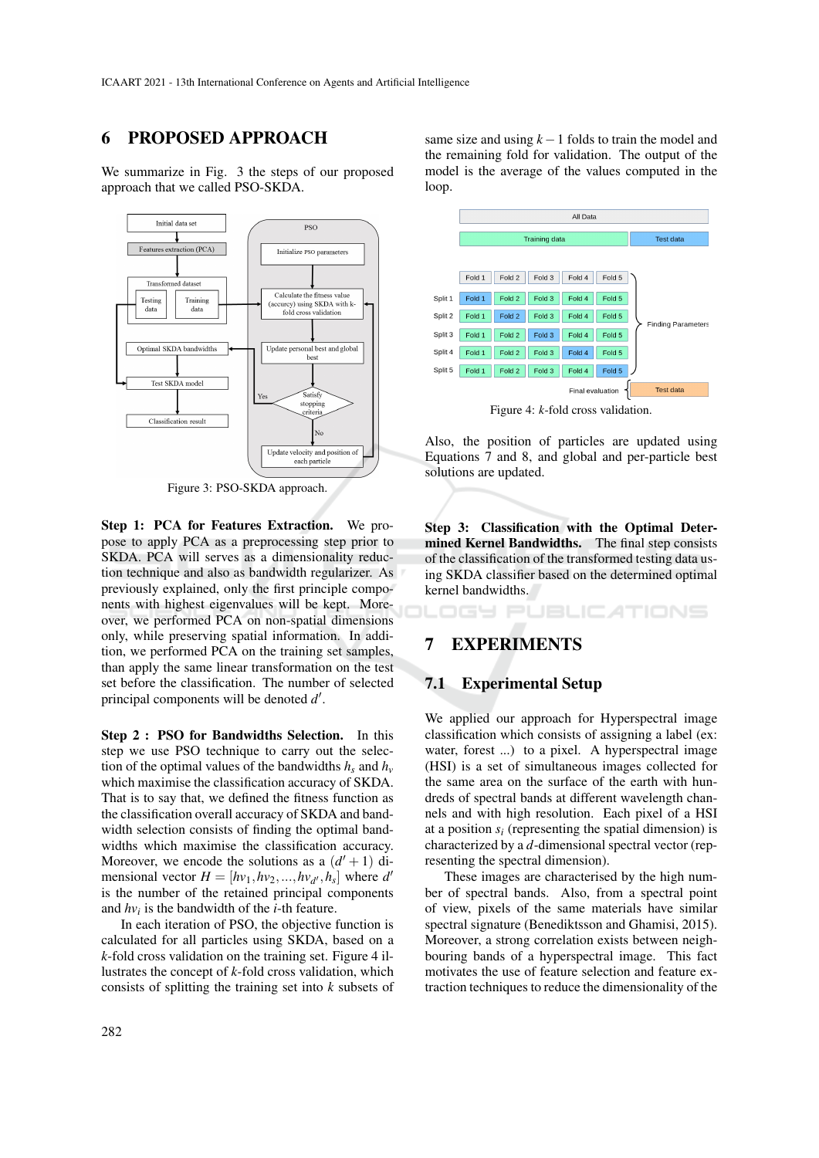# 6 PROPOSED APPROACH

We summarize in Fig. 3 the steps of our proposed approach that we called PSO-SKDA.



Figure 3: PSO-SKDA approach.

Step 1: PCA for Features Extraction. We propose to apply PCA as a preprocessing step prior to SKDA. PCA will serves as a dimensionality reduction technique and also as bandwidth regularizer. As previously explained, only the first principle components with highest eigenvalues will be kept. Moreover, we performed PCA on non-spatial dimensions only, while preserving spatial information. In addition, we performed PCA on the training set samples, than apply the same linear transformation on the test set before the classification. The number of selected principal components will be denoted  $d'$ .

Step 2 : PSO for Bandwidths Selection. In this step we use PSO technique to carry out the selection of the optimal values of the bandwidths  $h_s$  and  $h_v$ which maximise the classification accuracy of SKDA. That is to say that, we defined the fitness function as the classification overall accuracy of SKDA and bandwidth selection consists of finding the optimal bandwidths which maximise the classification accuracy. Moreover, we encode the solutions as a  $(d' + 1)$  dimensional vector  $H = [hv_1, hv_2, ..., hv_{d'}, h_s]$  where  $d'$ is the number of the retained principal components and *hv<sup>i</sup>* is the bandwidth of the *i*-th feature.

In each iteration of PSO, the objective function is calculated for all particles using SKDA, based on a *k*-fold cross validation on the training set. Figure 4 illustrates the concept of *k*-fold cross validation, which consists of splitting the training set into *k* subsets of

same size and using *k*−1 folds to train the model and the remaining fold for validation. The output of the model is the average of the values computed in the loop.



Also, the position of particles are updated using Equations 7 and 8, and global and per-particle best

Step 3: Classification with the Optimal Determined Kernel Bandwidths. The final step consists of the classification of the transformed testing data using SKDA classifier based on the determined optimal kernel bandwidths.

**PUBLICATIONS** 

## 7 EXPERIMENTS

10 U

solutions are updated.

### 7.1 Experimental Setup

We applied our approach for Hyperspectral image classification which consists of assigning a label (ex: water, forest ...) to a pixel. A hyperspectral image (HSI) is a set of simultaneous images collected for the same area on the surface of the earth with hundreds of spectral bands at different wavelength channels and with high resolution. Each pixel of a HSI at a position *s<sup>i</sup>* (representing the spatial dimension) is characterized by a *d*-dimensional spectral vector (representing the spectral dimension).

These images are characterised by the high number of spectral bands. Also, from a spectral point of view, pixels of the same materials have similar spectral signature (Benediktsson and Ghamisi, 2015). Moreover, a strong correlation exists between neighbouring bands of a hyperspectral image. This fact motivates the use of feature selection and feature extraction techniques to reduce the dimensionality of the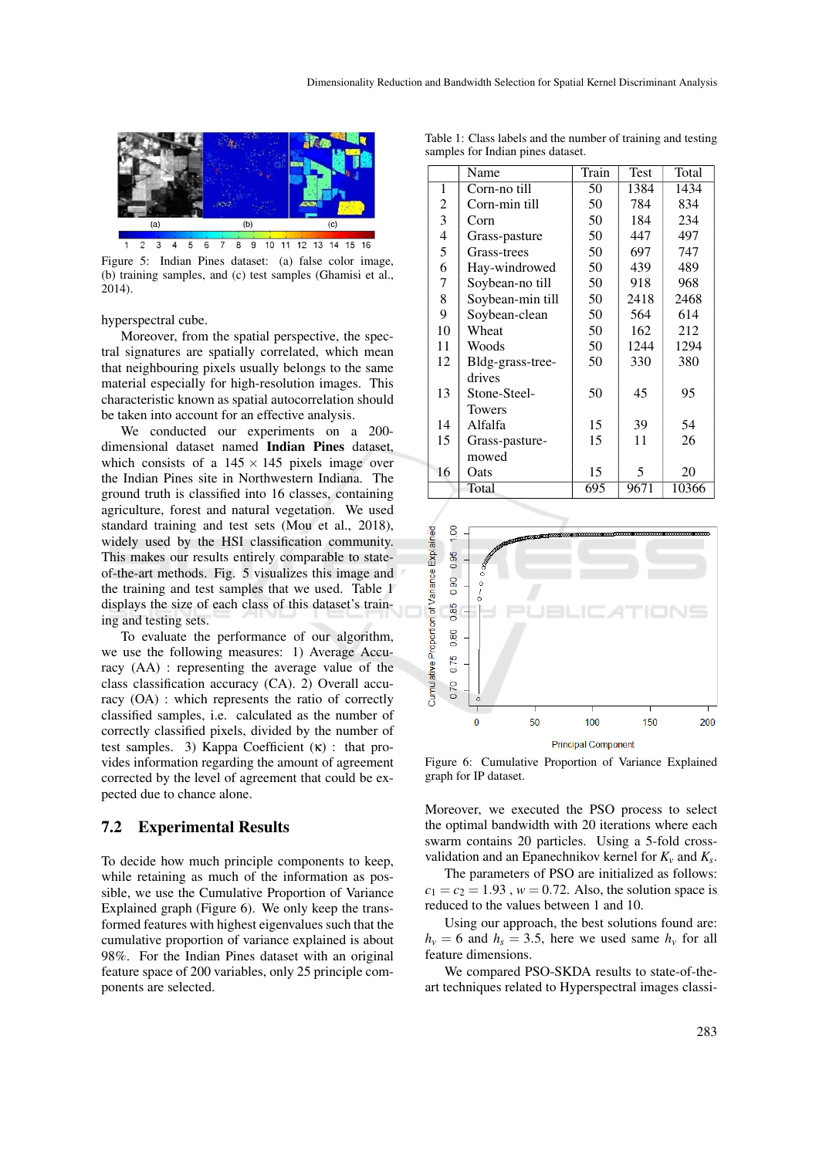

Figure 5: Indian Pines dataset: (a) false color image, (b) training samples, and (c) test samples (Ghamisi et al., 2014).

hyperspectral cube.

Moreover, from the spatial perspective, the spectral signatures are spatially correlated, which mean that neighbouring pixels usually belongs to the same material especially for high-resolution images. This characteristic known as spatial autocorrelation should be taken into account for an effective analysis.

We conducted our experiments on a 200dimensional dataset named Indian Pines dataset, which consists of a  $145 \times 145$  pixels image over the Indian Pines site in Northwestern Indiana. The ground truth is classified into 16 classes, containing agriculture, forest and natural vegetation. We used standard training and test sets (Mou et al., 2018), widely used by the HSI classification community. This makes our results entirely comparable to stateof-the-art methods. Fig. 5 visualizes this image and the training and test samples that we used. Table 1 displays the size of each class of this dataset's training and testing sets.

To evaluate the performance of our algorithm, we use the following measures: 1) Average Accuracy (AA) : representing the average value of the class classification accuracy (CA). 2) Overall accuracy (OA) : which represents the ratio of correctly classified samples, i.e. calculated as the number of correctly classified pixels, divided by the number of test samples. 3) Kappa Coefficient  $(\kappa)$  : that provides information regarding the amount of agreement corrected by the level of agreement that could be expected due to chance alone.

#### 7.2 Experimental Results

To decide how much principle components to keep, while retaining as much of the information as possible, we use the Cumulative Proportion of Variance Explained graph (Figure 6). We only keep the transformed features with highest eigenvalues such that the cumulative proportion of variance explained is about 98%. For the Indian Pines dataset with an original feature space of 200 variables, only 25 principle components are selected.

Table 1: Class labels and the number of training and testing samples for Indian pines dataset.

|                          | Name             | Train | Test | Total |
|--------------------------|------------------|-------|------|-------|
| $\mathbf{1}$             | Corn-no till     | 50    | 1384 | 1434  |
| 2                        | Corn-min till    | 50    | 784  | 834   |
| 3                        | Corn             | 50    | 184  | 234   |
| $\overline{\mathcal{L}}$ | Grass-pasture    | 50    | 447  | 497   |
| 5                        | Grass-trees      | 50    | 697  | 747   |
| 6                        | Hay-windrowed    | 50    | 439  | 489   |
| $\boldsymbol{7}$         | Soybean-no till  | 50    | 918  | 968   |
| 8                        | Soybean-min till | 50    | 2418 | 2468  |
| 9                        | Soybean-clean    | 50    | 564  | 614   |
| 10                       | Wheat            | 50    | 162  | 212   |
| 11                       | Woods            | 50    | 1244 | 1294  |
| 12                       | Bldg-grass-tree- | 50    | 330  | 380   |
|                          | drives           |       |      |       |
| 13                       | Stone-Steel-     | 50    | 45   | 95    |
|                          | Towers           |       |      |       |
| 14                       | Alfalfa          | 15    | 39   | 54    |
| 15                       | Grass-pasture-   | 15    | 11   | 26    |
|                          | mowed            |       |      |       |
| 16                       | Oats             | 15    | 5    | 20    |
|                          | Total            | 695   | 9671 | 10366 |
|                          |                  |       |      |       |
|                          |                  |       |      |       |
| 001<br>peqieidx=         |                  |       |      |       |
| 0.95                     |                  |       |      |       |
|                          |                  |       |      |       |



Figure 6: Cumulative Proportion of Variance Explained graph for IP dataset.

Moreover, we executed the PSO process to select the optimal bandwidth with 20 iterations where each swarm contains 20 particles. Using a 5-fold crossvalidation and an Epanechnikov kernel for  $K_v$  and  $K_s$ .

The parameters of PSO are initialized as follows:  $c_1 = c_2 = 1.93$ ,  $w = 0.72$ . Also, the solution space is reduced to the values between 1 and 10.

Using our approach, the best solutions found are:  $h_v = 6$  and  $h_s = 3.5$ , here we used same  $h_v$  for all feature dimensions.

We compared PSO-SKDA results to state-of-theart techniques related to Hyperspectral images classi-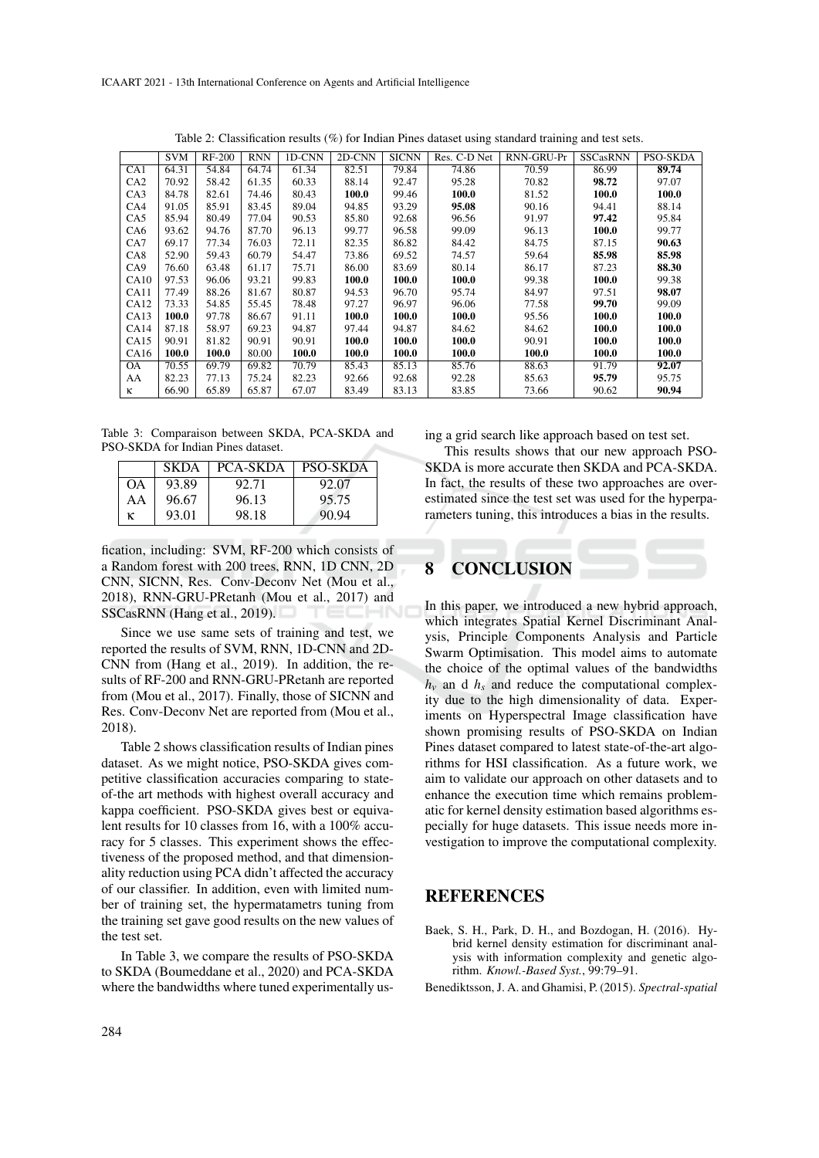|                  | <b>SVM</b> | <b>RF-200</b> | <b>RNN</b> | 1D-CNN | 2D-CNN | <b>SICNN</b> | Res. C-D Net | RNN-GRU-Pr | <b>SSCasRNN</b> | <b>PSO-SKDA</b> |
|------------------|------------|---------------|------------|--------|--------|--------------|--------------|------------|-----------------|-----------------|
| CA1              | 64.31      | 54.84         | 64.74      | 61.34  | 82.51  | 79.84        | 74.86        | 70.59      | 86.99           | 89.74           |
| CA <sub>2</sub>  | 70.92      | 58.42         | 61.35      | 60.33  | 88.14  | 92.47        | 95.28        | 70.82      | 98.72           | 97.07           |
| CA <sub>3</sub>  | 84.78      | 82.61         | 74.46      | 80.43  | 100.0  | 99.46        | 100.0        | 81.52      | 100.0           | 100.0           |
| CA4              | 91.05      | 85.91         | 83.45      | 89.04  | 94.85  | 93.29        | 95.08        | 90.16      | 94.41           | 88.14           |
| CA5              | 85.94      | 80.49         | 77.04      | 90.53  | 85.80  | 92.68        | 96.56        | 91.97      | 97.42           | 95.84           |
| CA6              | 93.62      | 94.76         | 87.70      | 96.13  | 99.77  | 96.58        | 99.09        | 96.13      | 100.0           | 99.77           |
| CA7              | 69.17      | 77.34         | 76.03      | 72.11  | 82.35  | 86.82        | 84.42        | 84.75      | 87.15           | 90.63           |
| CA <sub>8</sub>  | 52.90      | 59.43         | 60.79      | 54.47  | 73.86  | 69.52        | 74.57        | 59.64      | 85.98           | 85.98           |
| CA9              | 76.60      | 63.48         | 61.17      | 75.71  | 86.00  | 83.69        | 80.14        | 86.17      | 87.23           | 88.30           |
| CA <sub>10</sub> | 97.53      | 96.06         | 93.21      | 99.83  | 100.0  | 100.0        | 100.0        | 99.38      | 100.0           | 99.38           |
| CA11             | 77.49      | 88.26         | 81.67      | 80.87  | 94.53  | 96.70        | 95.74        | 84.97      | 97.51           | 98.07           |
| CA <sub>12</sub> | 73.33      | 54.85         | 55.45      | 78.48  | 97.27  | 96.97        | 96.06        | 77.58      | 99.70           | 99.09           |
| CA <sub>13</sub> | 100.0      | 97.78         | 86.67      | 91.11  | 100.0  | 100.0        | 100.0        | 95.56      | 100.0           | 100.0           |
| CA <sub>14</sub> | 87.18      | 58.97         | 69.23      | 94.87  | 97.44  | 94.87        | 84.62        | 84.62      | 100.0           | 100.0           |
| CA15             | 90.91      | 81.82         | 90.91      | 90.91  | 100.0  | 100.0        | 100.0        | 90.91      | 100.0           | 100.0           |
| CA16             | 100.0      | 100.0         | 80.00      | 100.0  | 100.0  | 100.0        | 100.0        | 100.0      | 100.0           | 100.0           |
| <b>OA</b>        | 70.55      | 69.79         | 69.82      | 70.79  | 85.43  | 85.13        | 85.76        | 88.63      | 91.79           | 92.07           |
| AA               | 82.23      | 77.13         | 75.24      | 82.23  | 92.66  | 92.68        | 92.28        | 85.63      | 95.79           | 95.75           |
| κ                | 66.90      | 65.89         | 65.87      | 67.07  | 83.49  | 83.13        | 83.85        | 73.66      | 90.62           | 90.94           |

Table 2: Classification results (%) for Indian Pines dataset using standard training and test sets.

Table 3: Comparaison between SKDA, PCA-SKDA and PSO-SKDA for Indian Pines dataset.

|    | <b>SKDA</b> | <b>PCA-SKDA</b> | <b>PSO-SKDA</b> |
|----|-------------|-----------------|-----------------|
| OΑ | 93.89       | 92.71           | 92.07           |
| AA | 96.67       | 96.13           | 95.75           |
| κ  | 93.01       | 98.18           | 90.94           |

fication, including: SVM, RF-200 which consists of a Random forest with 200 trees, RNN, 1D CNN, 2D CNN, SICNN, Res. Conv-Deconv Net (Mou et al., 2018), RNN-GRU-PRetanh (Mou et al., 2017) and SSCasRNN (Hang et al., 2019).

Since we use same sets of training and test, we reported the results of SVM, RNN, 1D-CNN and 2D-CNN from (Hang et al., 2019). In addition, the results of RF-200 and RNN-GRU-PRetanh are reported from (Mou et al., 2017). Finally, those of SICNN and Res. Conv-Deconv Net are reported from (Mou et al., 2018).

Table 2 shows classification results of Indian pines dataset. As we might notice, PSO-SKDA gives competitive classification accuracies comparing to stateof-the art methods with highest overall accuracy and kappa coefficient. PSO-SKDA gives best or equivalent results for 10 classes from 16, with a 100% accuracy for 5 classes. This experiment shows the effectiveness of the proposed method, and that dimensionality reduction using PCA didn't affected the accuracy of our classifier. In addition, even with limited number of training set, the hypermatametrs tuning from the training set gave good results on the new values of the test set.

In Table 3, we compare the results of PSO-SKDA to SKDA (Boumeddane et al., 2020) and PCA-SKDA where the bandwidths where tuned experimentally using a grid search like approach based on test set.

This results shows that our new approach PSO-SKDA is more accurate then SKDA and PCA-SKDA. In fact, the results of these two approaches are overestimated since the test set was used for the hyperparameters tuning, this introduces a bias in the results.

## 8 CONCLUSION

In this paper, we introduced a new hybrid approach, which integrates Spatial Kernel Discriminant Analysis, Principle Components Analysis and Particle Swarm Optimisation. This model aims to automate the choice of the optimal values of the bandwidths  $h_v$  and  $h_s$  and reduce the computational complexity due to the high dimensionality of data. Experiments on Hyperspectral Image classification have shown promising results of PSO-SKDA on Indian Pines dataset compared to latest state-of-the-art algorithms for HSI classification. As a future work, we aim to validate our approach on other datasets and to enhance the execution time which remains problematic for kernel density estimation based algorithms especially for huge datasets. This issue needs more investigation to improve the computational complexity.

### REFERENCES

Baek, S. H., Park, D. H., and Bozdogan, H. (2016). Hybrid kernel density estimation for discriminant analysis with information complexity and genetic algorithm. *Knowl.-Based Syst.*, 99:79–91.

Benediktsson, J. A. and Ghamisi, P. (2015). *Spectral-spatial*